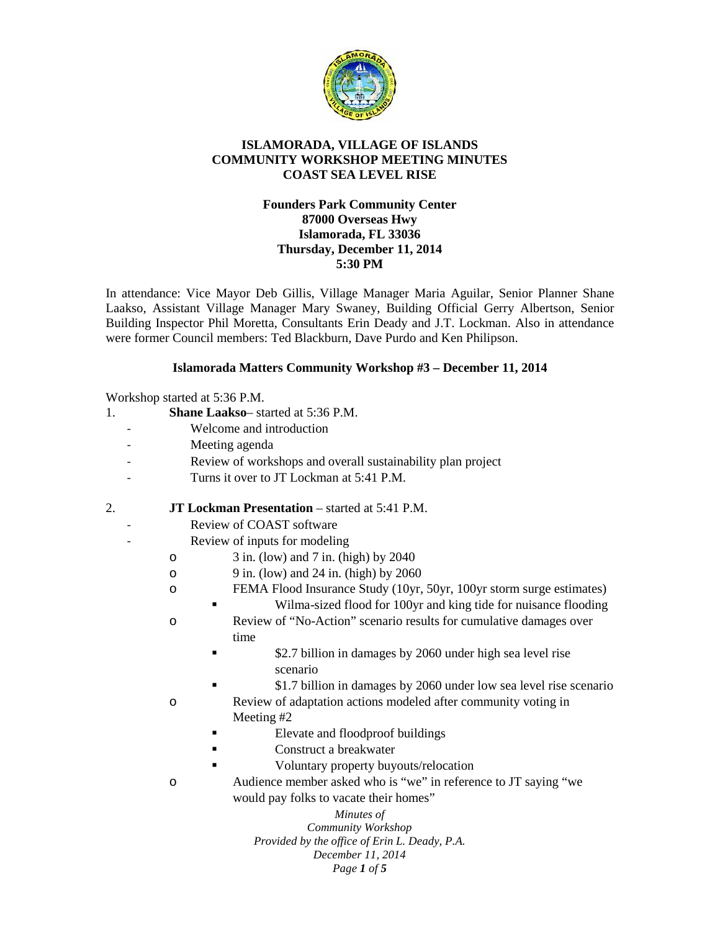

## **ISLAMORADA, VILLAGE OF ISLANDS COMMUNITY WORKSHOP MEETING MINUTES COAST SEA LEVEL RISE**

## **Founders Park Community Center 87000 Overseas Hwy Islamorada, FL 33036 Thursday, December 11, 2014 5:30 PM**

In attendance: Vice Mayor Deb Gillis, Village Manager Maria Aguilar, Senior Planner Shane Laakso, Assistant Village Manager Mary Swaney, Building Official Gerry Albertson, Senior Building Inspector Phil Moretta, Consultants Erin Deady and J.T. Lockman. Also in attendance were former Council members: Ted Blackburn, Dave Purdo and Ken Philipson.

## **Islamorada Matters Community Workshop #3 – December 11, 2014**

Workshop started at 5:36 P.M.

- 1. **Shane Laakso** started at 5:36 P.M.
	- Welcome and introduction
	- Meeting agenda
	- Review of workshops and overall sustainability plan project
	- Turns it over to JT Lockman at 5:41 P.M.
- 2. **JT Lockman Presentation** started at 5:41 P.M.
	- Review of COAST software
	- Review of inputs for modeling
		- o 3 in. (low) and 7 in. (high) by 2040
		- $\degree$  9 in. (low) and 24 in. (high) by 2060
		- o FEMA Flood Insurance Study (10yr, 50yr, 100yr storm surge estimates)
			- Wilma-sized flood for 100yr and king tide for nuisance flooding
		- o Review of "No-Action" scenario results for cumulative damages over time
			- **Example 12.7 billion in damages by 2060 under high sea level rise** scenario
		- \$1.7 billion in damages by 2060 under low sea level rise scenario o Review of adaptation actions modeled after community voting in
			- Meeting #2
			- Elevate and floodproof buildings
			- Construct a breakwater
			- Voluntary property buyouts/relocation
		- o Audience member asked who is "we" in reference to JT saying "we would pay folks to vacate their homes"

*Minutes of Community Workshop Provided by the office of Erin L. Deady, P.A. December 11, 2014 Page 1 of 5*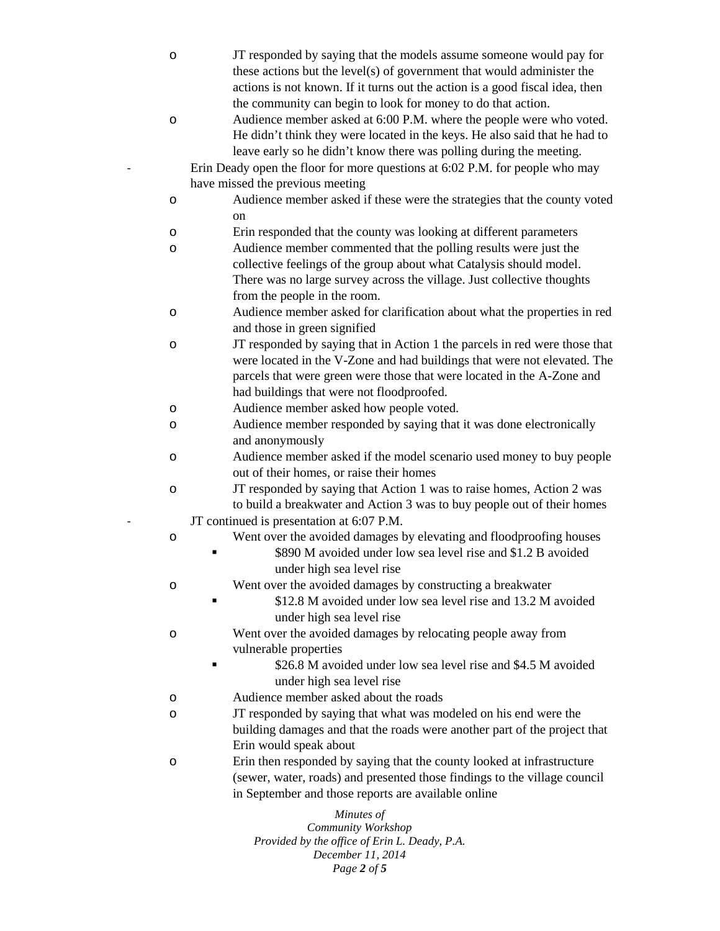*Minutes of Community Workshop* o JT responded by saying that the models assume someone would pay for these actions but the level(s) of government that would administer the actions is not known. If it turns out the action is a good fiscal idea, then the community can begin to look for money to do that action. o Audience member asked at 6:00 P.M. where the people were who voted. He didn't think they were located in the keys. He also said that he had to leave early so he didn't know there was polling during the meeting. Erin Deady open the floor for more questions at 6:02 P.M. for people who may have missed the previous meeting o Audience member asked if these were the strategies that the county voted on o Erin responded that the county was looking at different parameters o Audience member commented that the polling results were just the collective feelings of the group about what Catalysis should model. There was no large survey across the village. Just collective thoughts from the people in the room. o Audience member asked for clarification about what the properties in red and those in green signified o JT responded by saying that in Action 1 the parcels in red were those that were located in the V-Zone and had buildings that were not elevated. The parcels that were green were those that were located in the A-Zone and had buildings that were not floodproofed. o Audience member asked how people voted. o Audience member responded by saying that it was done electronically and anonymously o Audience member asked if the model scenario used money to buy people out of their homes, or raise their homes o JT responded by saying that Action 1 was to raise homes, Action 2 was to build a breakwater and Action 3 was to buy people out of their homes JT continued is presentation at 6:07 P.M. o Went over the avoided damages by elevating and floodproofing houses **S890 M** avoided under low sea level rise and \$1.2 B avoided under high sea level rise o Went over the avoided damages by constructing a breakwater **S12.8 M** avoided under low sea level rise and 13.2 M avoided under high sea level rise o Went over the avoided damages by relocating people away from vulnerable properties **Example 326.8 M** avoided under low sea level rise and \$4.5 M avoided under high sea level rise o Audience member asked about the roads o JT responded by saying that what was modeled on his end were the building damages and that the roads were another part of the project that Erin would speak about o Erin then responded by saying that the county looked at infrastructure (sewer, water, roads) and presented those findings to the village council in September and those reports are available online

*Provided by the office of Erin L. Deady, P.A. December 11, 2014 Page 2 of 5*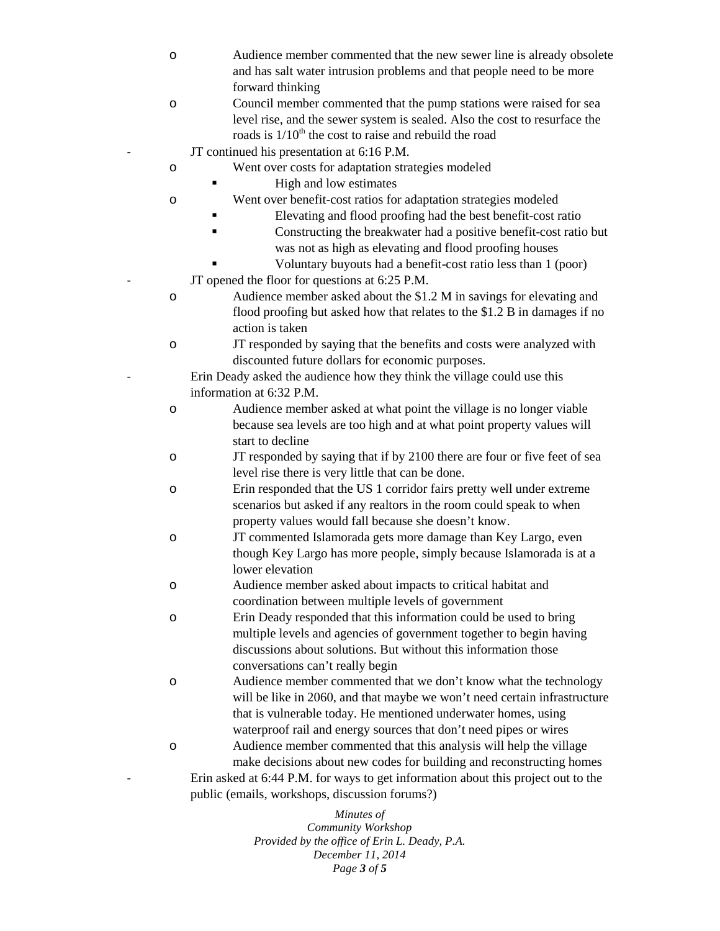- o Audience member commented that the new sewer line is already obsolete and has salt water intrusion problems and that people need to be more forward thinking
- o Council member commented that the pump stations were raised for sea level rise, and the sewer system is sealed. Also the cost to resurface the roads is  $1/10<sup>th</sup>$  the cost to raise and rebuild the road
	- JT continued his presentation at 6:16 P.M.
- o Went over costs for adaptation strategies modeled
	- $\blacksquare$  High and low estimates
- o Went over benefit-cost ratios for adaptation strategies modeled
	- Elevating and flood proofing had the best benefit-cost ratio
	- Constructing the breakwater had a positive benefit-cost ratio but was not as high as elevating and flood proofing houses
		- Voluntary buyouts had a benefit-cost ratio less than 1 (poor)
	- JT opened the floor for questions at 6:25 P.M.
- o Audience member asked about the \$1.2 M in savings for elevating and flood proofing but asked how that relates to the \$1.2 B in damages if no action is taken
- o JT responded by saying that the benefits and costs were analyzed with discounted future dollars for economic purposes.
	- Erin Deady asked the audience how they think the village could use this information at 6:32 P.M.
- o Audience member asked at what point the village is no longer viable because sea levels are too high and at what point property values will start to decline
- o JT responded by saying that if by 2100 there are four or five feet of sea level rise there is very little that can be done.
- o Erin responded that the US 1 corridor fairs pretty well under extreme scenarios but asked if any realtors in the room could speak to when property values would fall because she doesn't know.
- o JT commented Islamorada gets more damage than Key Largo, even though Key Largo has more people, simply because Islamorada is at a lower elevation
- o Audience member asked about impacts to critical habitat and coordination between multiple levels of government
- o Erin Deady responded that this information could be used to bring multiple levels and agencies of government together to begin having discussions about solutions. But without this information those conversations can't really begin
- o Audience member commented that we don't know what the technology will be like in 2060, and that maybe we won't need certain infrastructure that is vulnerable today. He mentioned underwater homes, using waterproof rail and energy sources that don't need pipes or wires
- o Audience member commented that this analysis will help the village make decisions about new codes for building and reconstructing homes Erin asked at 6:44 P.M. for ways to get information about this project out to the public (emails, workshops, discussion forums?)

*Minutes of Community Workshop Provided by the office of Erin L. Deady, P.A. December 11, 2014 Page 3 of 5*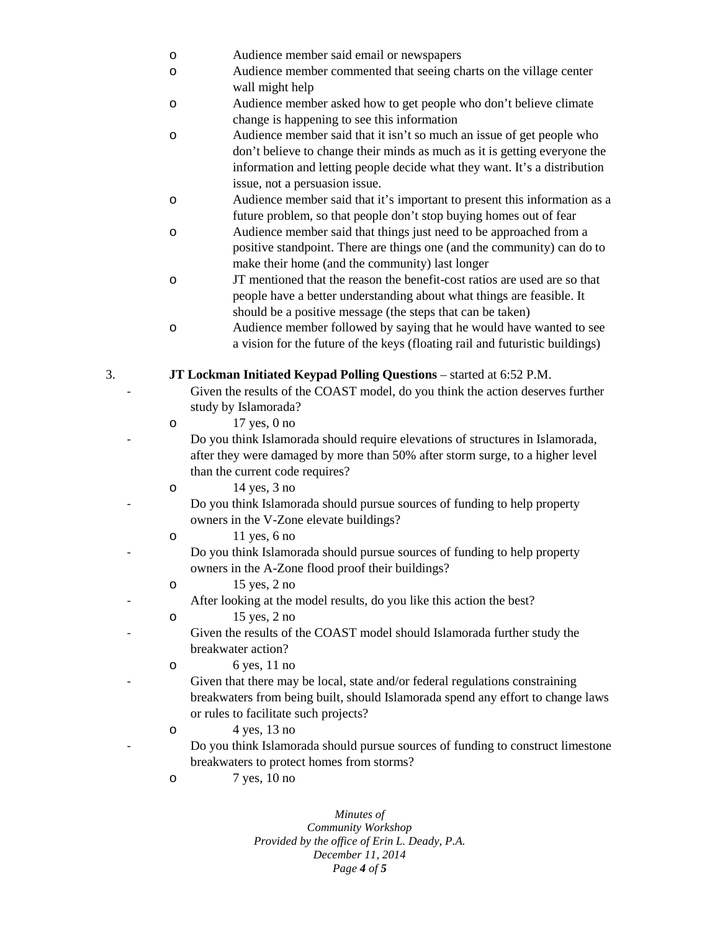- o Audience member said email or newspapers
- o Audience member commented that seeing charts on the village center wall might help
- o Audience member asked how to get people who don't believe climate change is happening to see this information
- o Audience member said that it isn't so much an issue of get people who don't believe to change their minds as much as it is getting everyone the information and letting people decide what they want. It's a distribution issue, not a persuasion issue.
- o Audience member said that it's important to present this information as a future problem, so that people don't stop buying homes out of fear
- o Audience member said that things just need to be approached from a positive standpoint. There are things one (and the community) can do to make their home (and the community) last longer
- o JT mentioned that the reason the benefit-cost ratios are used are so that people have a better understanding about what things are feasible. It should be a positive message (the steps that can be taken)
- o Audience member followed by saying that he would have wanted to see a vision for the future of the keys (floating rail and futuristic buildings)
- 3. **JT Lockman Initiated Keypad Polling Questions** started at 6:52 P.M.
	- Given the results of the COAST model, do you think the action deserves further study by Islamorada?
	- o 17 yes, 0 no
		- Do you think Islamorada should require elevations of structures in Islamorada, after they were damaged by more than 50% after storm surge, to a higher level than the current code requires?
	- $14 \text{ yes}, 3 \text{ no}$ 
		- Do you think Islamorada should pursue sources of funding to help property owners in the V-Zone elevate buildings?
	- o 11 yes, 6 no
		- Do you think Islamorada should pursue sources of funding to help property owners in the A-Zone flood proof their buildings?
	- o 15 yes, 2 no
		- After looking at the model results, do you like this action the best?
	- o 15 yes, 2 no
		- Given the results of the COAST model should Islamorada further study the breakwater action?
	- o 6 yes, 11 no
		- Given that there may be local, state and/or federal regulations constraining breakwaters from being built, should Islamorada spend any effort to change laws or rules to facilitate such projects?
	- $\circ$  4 yes, 13 no - Do you think Islamorada should pursue sources of funding to construct limestone breakwaters to protect homes from storms?
		- o 7 yes, 10 no

*Minutes of Community Workshop Provided by the office of Erin L. Deady, P.A. December 11, 2014 Page 4 of 5*